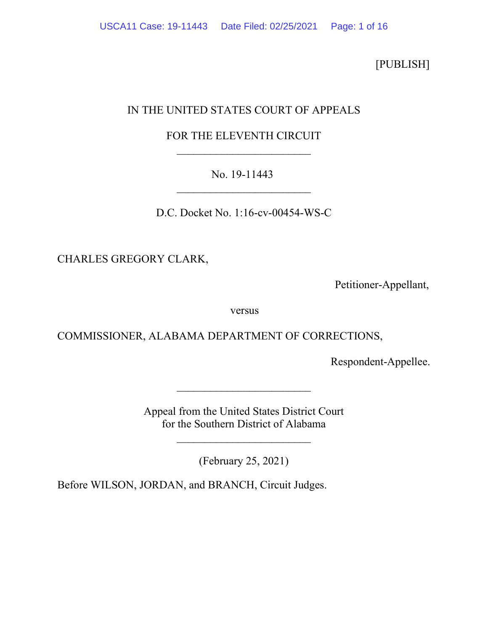[PUBLISH]

# IN THE UNITED STATES COURT OF APPEALS

## FOR THE ELEVENTH CIRCUIT \_\_\_\_\_\_\_\_\_\_\_\_\_\_\_\_\_\_\_\_\_\_\_\_

## No. 19-11443 \_\_\_\_\_\_\_\_\_\_\_\_\_\_\_\_\_\_\_\_\_\_\_\_

D.C. Docket No. 1:16-cv-00454-WS-C

CHARLES GREGORY CLARK,

Petitioner-Appellant,

versus

COMMISSIONER, ALABAMA DEPARTMENT OF CORRECTIONS,

Respondent-Appellee.

Appeal from the United States District Court for the Southern District of Alabama

\_\_\_\_\_\_\_\_\_\_\_\_\_\_\_\_\_\_\_\_\_\_\_\_

(February 25, 2021)

 $\overline{\phantom{a}}$  , and the set of the set of the set of the set of the set of the set of the set of the set of the set of the set of the set of the set of the set of the set of the set of the set of the set of the set of the s

Before WILSON, JORDAN, and BRANCH, Circuit Judges.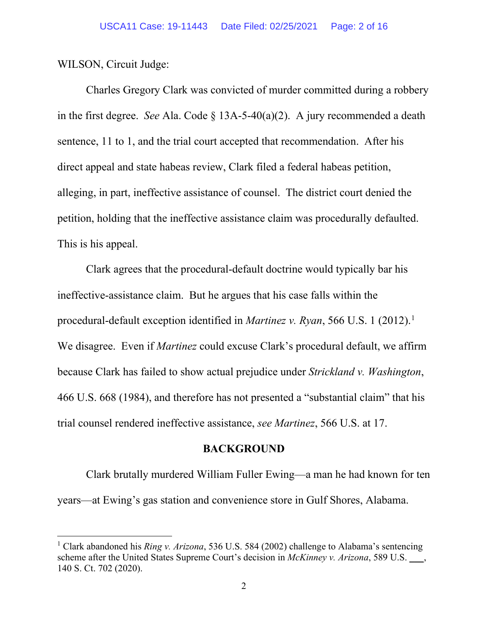WILSON, Circuit Judge:

Charles Gregory Clark was convicted of murder committed during a robbery in the first degree. *See* Ala. Code § 13A-5-40(a)(2).A jury recommended a death sentence, 11 to 1, and the trial court accepted that recommendation. After his direct appeal and state habeas review, Clark filed a federal habeas petition, alleging, in part, ineffective assistance of counsel. The district court denied the petition, holding that the ineffective assistance claim was procedurally defaulted. This is his appeal.

Clark agrees that the procedural-default doctrine would typically bar his ineffective-assistance claim. But he argues that his case falls within the procedural-default exception identified in *Martinez v. Ryan*, 566 U.S. 1 (2012).<sup>1</sup> We disagree. Even if *Martinez* could excuse Clark's procedural default, we affirm because Clark has failed to show actual prejudice under *Strickland v. Washington*, 466 U.S. 668 (1984), and therefore has not presented a "substantial claim" that his trial counsel rendered ineffective assistance, *see Martinez*, 566 U.S. at 17.

### **BACKGROUND**

Clark brutally murdered William Fuller Ewing—a man he had known for ten years—at Ewing's gas station and convenience store in Gulf Shores, Alabama.

<sup>1</sup> Clark abandoned his *Ring v. Arizona*, 536 U.S. 584 (2002) challenge to Alabama's sentencing scheme after the United States Supreme Court's decision in *McKinney v. Arizona*, 589 U.S. \_\_\_, 140 S. Ct. 702 (2020).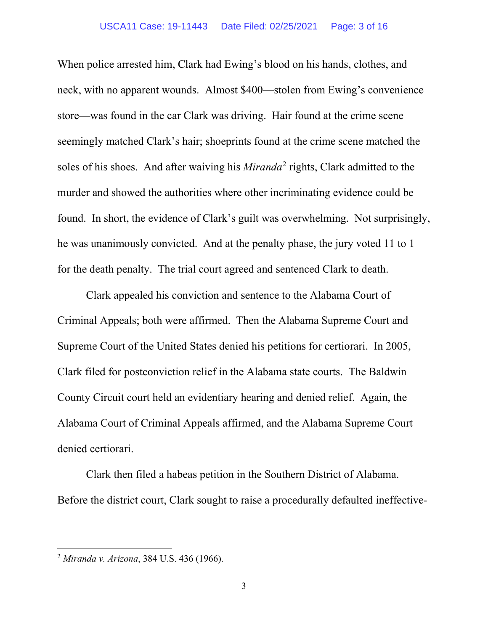When police arrested him, Clark had Ewing's blood on his hands, clothes, and neck, with no apparent wounds.Almost \$400—stolen from Ewing's convenience store—was found in the car Clark was driving. Hair found at the crime scene seemingly matched Clark's hair; shoeprints found at the crime scene matched the soles of his shoes.And after waiving his *Miranda*<sup>2</sup> rights, Clark admitted to the murder and showed the authorities where other incriminating evidence could be found. In short, the evidence of Clark's guilt was overwhelming.Not surprisingly, he was unanimously convicted. And at the penalty phase, the jury voted 11 to 1 for the death penalty. The trial court agreed and sentenced Clark to death.

Clark appealed his conviction and sentence to the Alabama Court of Criminal Appeals; both were affirmed. Then the Alabama Supreme Court and Supreme Court of the United States denied his petitions for certiorari. In 2005, Clark filed for postconviction relief in the Alabama state courts.The Baldwin County Circuit court held an evidentiary hearing and denied relief.Again, the Alabama Court of Criminal Appeals affirmed, and the Alabama Supreme Court denied certiorari.

Clark then filed a habeas petition in the Southern District of Alabama. Before the district court, Clark sought to raise a procedurally defaulted ineffective-

<sup>2</sup> *Miranda v. Arizona*, 384 U.S. 436 (1966).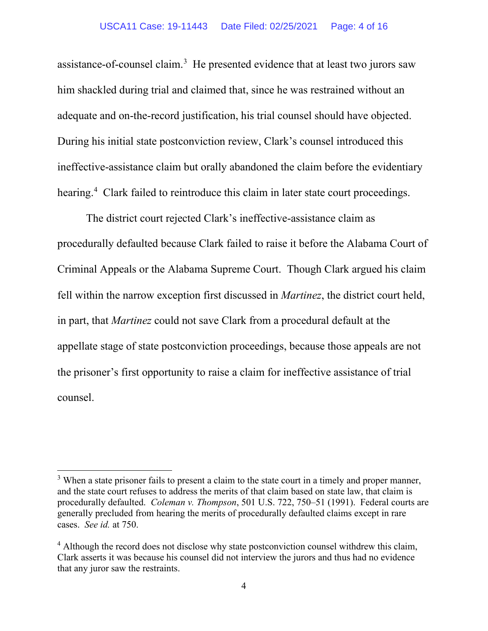assistance-of-counsel claim.<sup>3</sup> He presented evidence that at least two jurors saw him shackled during trial and claimed that, since he was restrained without an adequate and on-the-record justification, his trial counsel should have objected. During his initial state postconviction review, Clark's counsel introduced this ineffective-assistance claim but orally abandoned the claim before the evidentiary hearing.<sup>4</sup> Clark failed to reintroduce this claim in later state court proceedings.

The district court rejected Clark's ineffective-assistance claim as procedurally defaulted because Clark failed to raise it before the Alabama Court of Criminal Appeals or the Alabama Supreme Court. Though Clark argued his claim fell within the narrow exception first discussed in *Martinez*, the district court held, in part, that *Martinez* could not save Clark from a procedural default at the appellate stage of state postconviction proceedings, because those appeals are not the prisoner's first opportunity to raise a claim for ineffective assistance of trial counsel.

 $3$  When a state prisoner fails to present a claim to the state court in a timely and proper manner, and the state court refuses to address the merits of that claim based on state law, that claim is procedurally defaulted. *Coleman v. Thompson*, 501 U.S. 722, 750–51 (1991). Federal courts are generally precluded from hearing the merits of procedurally defaulted claims except in rare cases. *See id.* at 750.

<sup>&</sup>lt;sup>4</sup> Although the record does not disclose why state postconviction counsel withdrew this claim, Clark asserts it was because his counsel did not interview the jurors and thus had no evidence that any juror saw the restraints.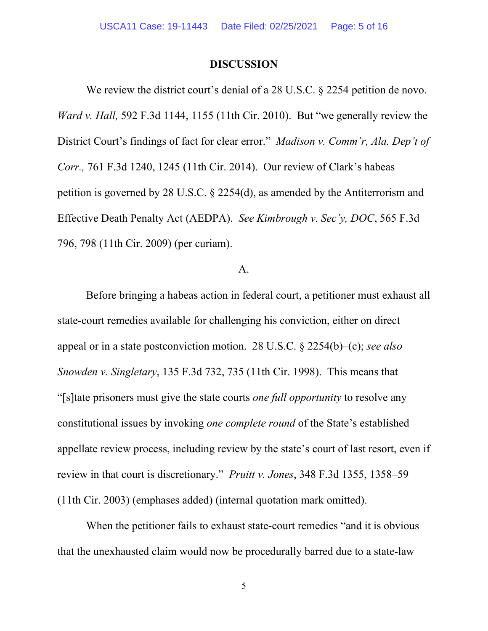### **DISCUSSION**

We review the district court's denial of a 28 U.S.C. § 2254 petition de novo. *Ward v. Hall,* 592 F.3d 1144, 1155 (11th Cir. 2010). But "we generally review the District Court's findings of fact for clear error." *Madison v. Comm'r, Ala. Dep't of Corr.,* 761 F.3d 1240, 1245 (11th Cir. 2014). Our review of Clark's habeas petition is governed by 28 U.S.C. § 2254(d), as amended by the Antiterrorism and Effective Death Penalty Act (AEDPA). *See Kimbrough v. Sec'y, DOC*, 565 F.3d 796, 798 (11th Cir. 2009) (per curiam).

### A.

Before bringing a habeas action in federal court, a petitioner must exhaust all state-court remedies available for challenging his conviction, either on direct appeal or in a state postconviction motion. 28 U.S.C. § 2254(b)–(c); *see also Snowden v. Singletary*, 135 F.3d 732, 735 (11th Cir. 1998). This means that "[s]tate prisoners must give the state courts *one full opportunity* to resolve any constitutional issues by invoking *one complete round* of the State's established appellate review process, including review by the state's court of last resort, even if review in that court is discretionary." *Pruitt v. Jones*, 348 F.3d 1355, 1358–59 (11th Cir. 2003) (emphases added) (internal quotation mark omitted).

When the petitioner fails to exhaust state-court remedies "and it is obvious that the unexhausted claim would now be procedurally barred due to a state-law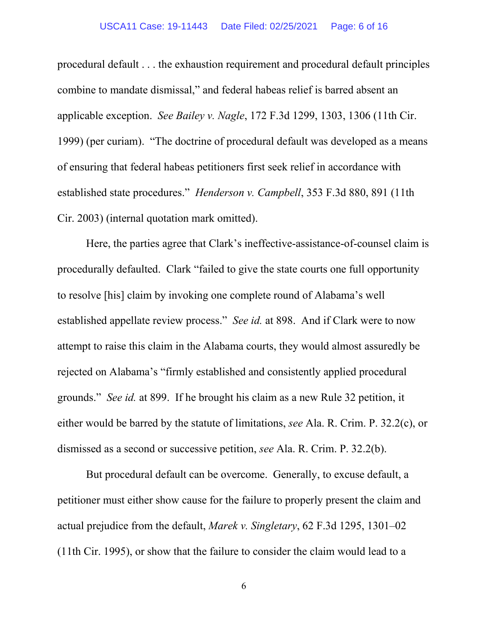#### USCA11 Case: 19-11443 Date Filed: 02/25/2021 Page: 6 of 16

procedural default . . . the exhaustion requirement and procedural default principles combine to mandate dismissal," and federal habeas relief is barred absent an applicable exception. *See Bailey v. Nagle*, 172 F.3d 1299, 1303, 1306 (11th Cir. 1999) (per curiam). "The doctrine of procedural default was developed as a means of ensuring that federal habeas petitioners first seek relief in accordance with established state procedures." *Henderson v. Campbell*, 353 F.3d 880, 891 (11th Cir. 2003) (internal quotation mark omitted).

Here, the parties agree that Clark's ineffective-assistance-of-counsel claim is procedurally defaulted. Clark "failed to give the state courts one full opportunity to resolve [his] claim by invoking one complete round of Alabama's well established appellate review process." *See id.* at 898. And if Clark were to now attempt to raise this claim in the Alabama courts, they would almost assuredly be rejected on Alabama's "firmly established and consistently applied procedural grounds." *See id.* at 899. If he brought his claim as a new Rule 32 petition, it either would be barred by the statute of limitations, *see* Ala. R. Crim. P. 32.2(c), or dismissed as a second or successive petition, *see* Ala. R. Crim. P. 32.2(b).

But procedural default can be overcome. Generally, to excuse default, a petitioner must either show cause for the failure to properly present the claim and actual prejudice from the default, *Marek v. Singletary*, 62 F.3d 1295, 1301–02 (11th Cir. 1995), or show that the failure to consider the claim would lead to a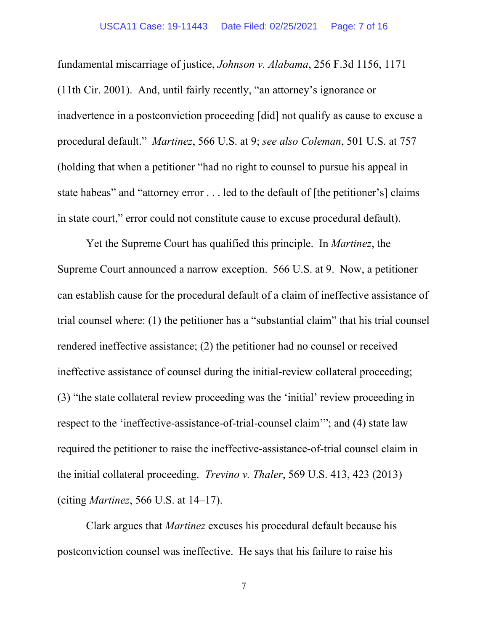### USCA11 Case: 19-11443 Date Filed: 02/25/2021 Page: 7 of 16

fundamental miscarriage of justice, *Johnson v. Alabama*, 256 F.3d 1156, 1171 (11th Cir. 2001). And, until fairly recently, "an attorney's ignorance or inadvertence in a postconviction proceeding [did] not qualify as cause to excuse a procedural default." *Martinez*, 566 U.S. at 9; *see also Coleman*, 501 U.S. at 757 (holding that when a petitioner "had no right to counsel to pursue his appeal in state habeas" and "attorney error . . . led to the default of [the petitioner's] claims in state court," error could not constitute cause to excuse procedural default).

Yet the Supreme Court has qualified this principle. In *Martinez*, the Supreme Court announced a narrow exception. 566 U.S. at 9. Now, a petitioner can establish cause for the procedural default of a claim of ineffective assistance of trial counsel where: (1) the petitioner has a "substantial claim" that his trial counsel rendered ineffective assistance; (2) the petitioner had no counsel or received ineffective assistance of counsel during the initial-review collateral proceeding; (3) "the state collateral review proceeding was the 'initial' review proceeding in respect to the 'ineffective-assistance-of-trial-counsel claim'"; and (4) state law required the petitioner to raise the ineffective-assistance-of-trial counsel claim in the initial collateral proceeding. *Trevino v. Thaler*, 569 U.S. 413, 423 (2013) (citing *Martinez*, 566 U.S. at 14–17).

Clark argues that *Martinez* excuses his procedural default because his postconviction counsel was ineffective. He says that his failure to raise his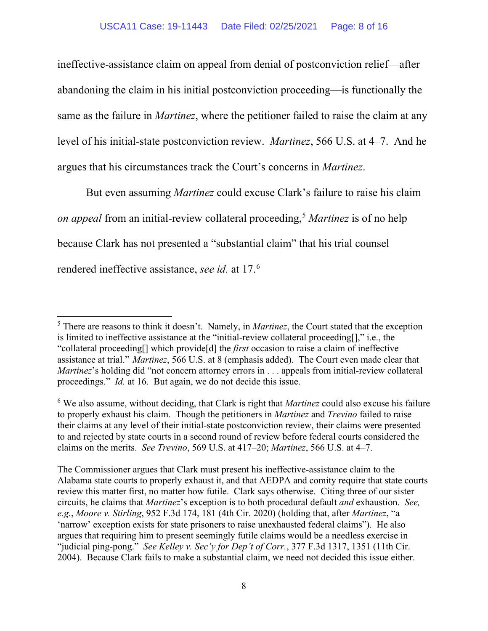ineffective-assistance claim on appeal from denial of postconviction relief—after abandoning the claim in his initial postconviction proceeding—is functionally the same as the failure in *Martinez*, where the petitioner failed to raise the claim at any level of his initial-state postconviction review. *Martinez*, 566 U.S. at 4*–*7. And he argues that his circumstances track the Court's concerns in *Martinez*.

But even assuming *Martinez* could excuse Clark's failure to raise his claim *on appeal* from an initial-review collateral proceeding, <sup>5</sup> *Martinez* is of no help because Clark has not presented a "substantial claim" that his trial counsel rendered ineffective assistance, *see id.* at 17.6

<sup>5</sup> There are reasons to think it doesn't. Namely, in *Martinez*, the Court stated that the exception is limited to ineffective assistance at the "initial-review collateral proceeding[]," i.e., the "collateral proceeding[] which provide[d] the *first* occasion to raise a claim of ineffective assistance at trial." *Martinez*, 566 U.S. at 8 (emphasis added). The Court even made clear that *Martinez*'s holding did "not concern attorney errors in . . . appeals from initial-review collateral proceedings." *Id.* at 16. But again, we do not decide this issue.

<sup>6</sup> We also assume, without deciding, that Clark is right that *Martinez* could also excuse his failure to properly exhaust his claim. Though the petitioners in *Martinez* and *Trevino* failed to raise their claims at any level of their initial-state postconviction review, their claims were presented to and rejected by state courts in a second round of review before federal courts considered the claims on the merits. *See Trevino*, 569 U.S. at 417–20; *Martinez*, 566 U.S. at 4*–*7.

The Commissioner argues that Clark must present his ineffective-assistance claim to the Alabama state courts to properly exhaust it, and that AEDPA and comity require that state courts review this matter first, no matter how futile. Clark says otherwise. Citing three of our sister circuits, he claims that *Martinez*'s exception is to both procedural default *and* exhaustion. *See, e.g.*, *Moore v. Stirling*, 952 F.3d 174, 181 (4th Cir. 2020) (holding that, after *Martinez*, "a 'narrow' exception exists for state prisoners to raise unexhausted federal claims"). He also argues that requiring him to present seemingly futile claims would be a needless exercise in "judicial ping-pong." *See Kelley v. Sec'y for Dep't of Corr.*, 377 F.3d 1317, 1351 (11th Cir. 2004). Because Clark fails to make a substantial claim, we need not decided this issue either.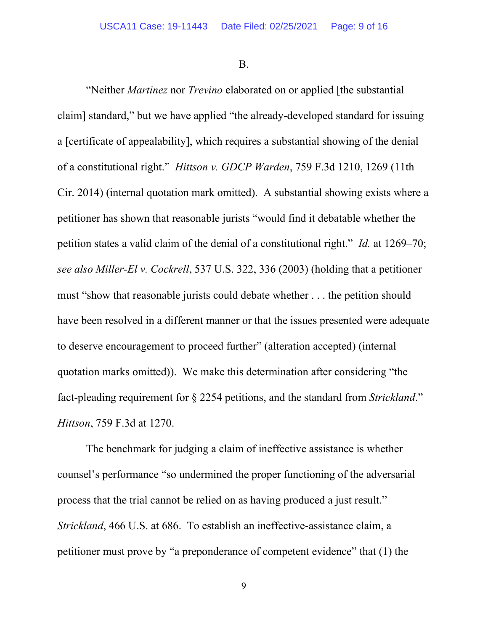B.

"Neither *Martinez* nor *Trevino* elaborated on or applied [the substantial claim] standard," but we have applied "the already-developed standard for issuing a [certificate of appealability], which requires a substantial showing of the denial of a constitutional right." *Hittson v. GDCP Warden*, 759 F.3d 1210, 1269 (11th Cir. 2014) (internal quotation mark omitted). A substantial showing exists where a petitioner has shown that reasonable jurists "would find it debatable whether the petition states a valid claim of the denial of a constitutional right." *Id.* at 1269–70; *see also Miller-El v. Cockrell*, 537 U.S. 322, 336 (2003) (holding that a petitioner must "show that reasonable jurists could debate whether . . . the petition should have been resolved in a different manner or that the issues presented were adequate to deserve encouragement to proceed further" (alteration accepted) (internal quotation marks omitted)). We make this determination after considering "the fact-pleading requirement for § 2254 petitions, and the standard from *Strickland*." *Hittson*, 759 F.3d at 1270.

The benchmark for judging a claim of ineffective assistance is whether counsel's performance "so undermined the proper functioning of the adversarial process that the trial cannot be relied on as having produced a just result." *Strickland*, 466 U.S. at 686. To establish an ineffective-assistance claim, a petitioner must prove by "a preponderance of competent evidence" that (1) the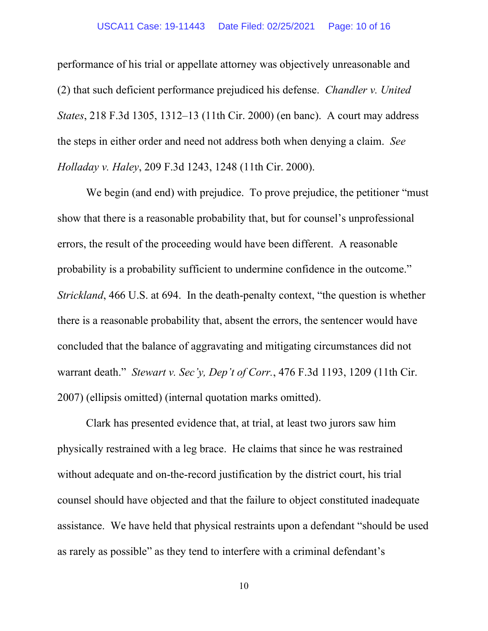performance of his trial or appellate attorney was objectively unreasonable and (2) that such deficient performance prejudiced his defense. *Chandler v. United States*, 218 F.3d 1305, 1312–13 (11th Cir. 2000) (en banc). A court may address the steps in either order and need not address both when denying a claim. *See Holladay v. Haley*, 209 F.3d 1243, 1248 (11th Cir. 2000).

We begin (and end) with prejudice. To prove prejudice, the petitioner "must show that there is a reasonable probability that, but for counsel's unprofessional errors, the result of the proceeding would have been different. A reasonable probability is a probability sufficient to undermine confidence in the outcome." *Strickland*, 466 U.S. at 694. In the death-penalty context, "the question is whether there is a reasonable probability that, absent the errors, the sentencer would have concluded that the balance of aggravating and mitigating circumstances did not warrant death." *Stewart v. Sec'y, Dep't of Corr.*, 476 F.3d 1193, 1209 (11th Cir. 2007) (ellipsis omitted) (internal quotation marks omitted).

Clark has presented evidence that, at trial, at least two jurors saw him physically restrained with a leg brace. He claims that since he was restrained without adequate and on-the-record justification by the district court, his trial counsel should have objected and that the failure to object constituted inadequate assistance. We have held that physical restraints upon a defendant "should be used as rarely as possible" as they tend to interfere with a criminal defendant's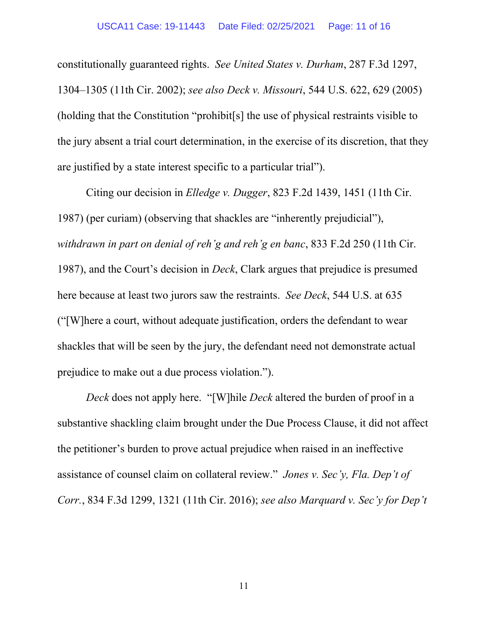constitutionally guaranteed rights. *See United States v. Durham*, 287 F.3d 1297, 1304–1305 (11th Cir. 2002); *see also Deck v. Missouri*, 544 U.S. 622, 629 (2005) (holding that the Constitution "prohibit[s] the use of physical restraints visible to the jury absent a trial court determination, in the exercise of its discretion, that they are justified by a state interest specific to a particular trial").

Citing our decision in *Elledge v. Dugger*, 823 F.2d 1439, 1451 (11th Cir. 1987) (per curiam) (observing that shackles are "inherently prejudicial"), *withdrawn in part on denial of reh'g and reh'g en banc*, 833 F.2d 250 (11th Cir. 1987), and the Court's decision in *Deck*, Clark argues that prejudice is presumed here because at least two jurors saw the restraints. *See Deck*, 544 U.S. at 635 ("[W]here a court, without adequate justification, orders the defendant to wear shackles that will be seen by the jury, the defendant need not demonstrate actual prejudice to make out a due process violation.").

*Deck* does not apply here. "[W]hile *Deck* altered the burden of proof in a substantive shackling claim brought under the Due Process Clause, it did not affect the petitioner's burden to prove actual prejudice when raised in an ineffective assistance of counsel claim on collateral review." *Jones v. Sec'y, Fla. Dep't of Corr.*, 834 F.3d 1299, 1321 (11th Cir. 2016); *see also Marquard v. Sec'y for Dep't*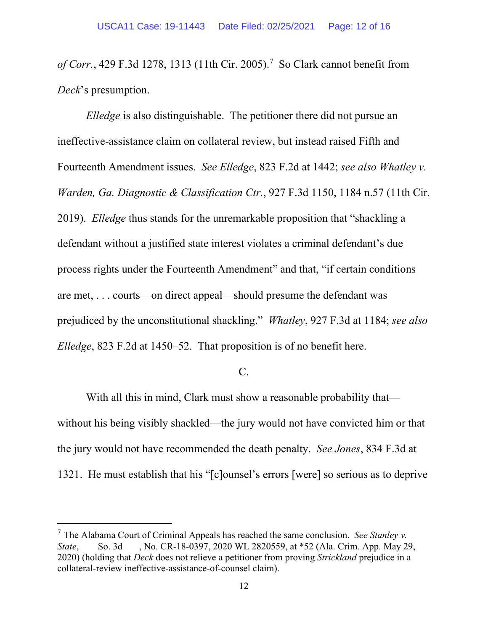*of Corr.*, 429 F.3d 1278, 1313 (11th Cir. 2005). 7 So Clark cannot benefit from *Deck*'s presumption.

*Elledge* is also distinguishable. The petitioner there did not pursue an ineffective-assistance claim on collateral review, but instead raised Fifth and Fourteenth Amendment issues. *See Elledge*, 823 F.2d at 1442; *see also Whatley v. Warden, Ga. Diagnostic & Classification Ctr.*, 927 F.3d 1150, 1184 n.57 (11th Cir. 2019). *Elledge* thus stands for the unremarkable proposition that "shackling a defendant without a justified state interest violates a criminal defendant's due process rights under the Fourteenth Amendment" and that, "if certain conditions are met, . . . courts—on direct appeal—should presume the defendant was prejudiced by the unconstitutional shackling." *Whatley*, 927 F.3d at 1184; *see also Elledge*, 823 F.2d at 1450–52. That proposition is of no benefit here.

C.

With all this in mind, Clark must show a reasonable probability that without his being visibly shackled—the jury would not have convicted him or that the jury would not have recommended the death penalty. *See Jones*, 834 F.3d at 1321. He must establish that his "[c]ounsel's errors [were] so serious as to deprive

<sup>7</sup> The Alabama Court of Criminal Appeals has reached the same conclusion. *See Stanley v. State*, So. 3d , No. CR-18-0397, 2020 WL 2820559, at \*52 (Ala. Crim. App. May 29, 2020) (holding that *Deck* does not relieve a petitioner from proving *Strickland* prejudice in a collateral-review ineffective-assistance-of-counsel claim).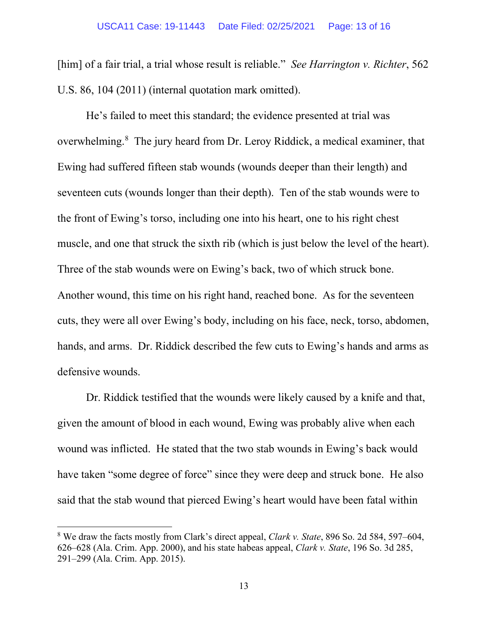[him] of a fair trial, a trial whose result is reliable." *See Harrington v. Richter*, 562 U.S. 86, 104 (2011) (internal quotation mark omitted).

He's failed to meet this standard; the evidence presented at trial was overwhelming.<sup>8</sup> The jury heard from Dr. Leroy Riddick, a medical examiner, that Ewing had suffered fifteen stab wounds (wounds deeper than their length) and seventeen cuts (wounds longer than their depth). Ten of the stab wounds were to the front of Ewing's torso, including one into his heart, one to his right chest muscle, and one that struck the sixth rib (which is just below the level of the heart). Three of the stab wounds were on Ewing's back, two of which struck bone. Another wound, this time on his right hand, reached bone. As for the seventeen cuts, they were all over Ewing's body, including on his face, neck, torso, abdomen, hands, and arms. Dr. Riddick described the few cuts to Ewing's hands and arms as defensive wounds.

Dr. Riddick testified that the wounds were likely caused by a knife and that, given the amount of blood in each wound, Ewing was probably alive when each wound was inflicted. He stated that the two stab wounds in Ewing's back would have taken "some degree of force" since they were deep and struck bone. He also said that the stab wound that pierced Ewing's heart would have been fatal within

<sup>8</sup> We draw the facts mostly from Clark's direct appeal, *Clark v. State*, 896 So. 2d 584, 597–604, 626–628 (Ala. Crim. App. 2000), and his state habeas appeal, *Clark v. State*, 196 So. 3d 285, 291–299 (Ala. Crim. App. 2015).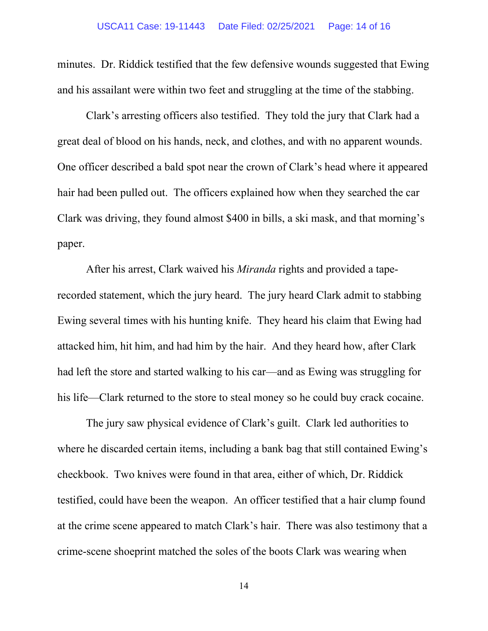minutes. Dr. Riddick testified that the few defensive wounds suggested that Ewing and his assailant were within two feet and struggling at the time of the stabbing.

Clark's arresting officers also testified. They told the jury that Clark had a great deal of blood on his hands, neck, and clothes, and with no apparent wounds. One officer described a bald spot near the crown of Clark's head where it appeared hair had been pulled out. The officers explained how when they searched the car Clark was driving, they found almost \$400 in bills, a ski mask, and that morning's paper.

After his arrest, Clark waived his *Miranda* rights and provided a taperecorded statement, which the jury heard. The jury heard Clark admit to stabbing Ewing several times with his hunting knife. They heard his claim that Ewing had attacked him, hit him, and had him by the hair. And they heard how, after Clark had left the store and started walking to his car—and as Ewing was struggling for his life—Clark returned to the store to steal money so he could buy crack cocaine.

The jury saw physical evidence of Clark's guilt. Clark led authorities to where he discarded certain items, including a bank bag that still contained Ewing's checkbook. Two knives were found in that area, either of which, Dr. Riddick testified, could have been the weapon. An officer testified that a hair clump found at the crime scene appeared to match Clark's hair. There was also testimony that a crime-scene shoeprint matched the soles of the boots Clark was wearing when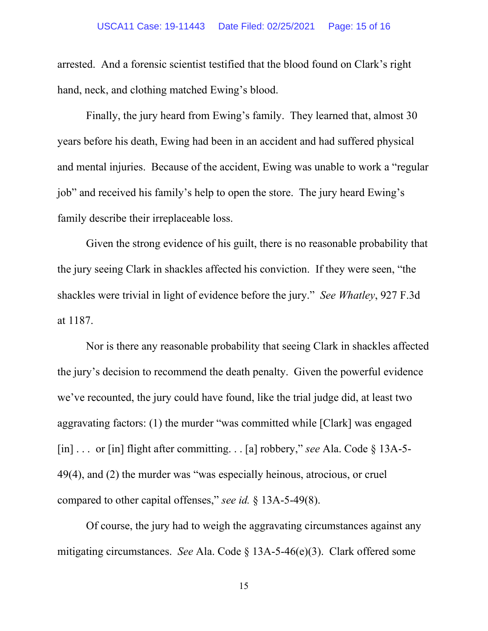arrested. And a forensic scientist testified that the blood found on Clark's right hand, neck, and clothing matched Ewing's blood.

Finally, the jury heard from Ewing's family. They learned that, almost 30 years before his death, Ewing had been in an accident and had suffered physical and mental injuries. Because of the accident, Ewing was unable to work a "regular job" and received his family's help to open the store. The jury heard Ewing's family describe their irreplaceable loss.

Given the strong evidence of his guilt, there is no reasonable probability that the jury seeing Clark in shackles affected his conviction. If they were seen, "the shackles were trivial in light of evidence before the jury." *See Whatley*, 927 F.3d at 1187.

Nor is there any reasonable probability that seeing Clark in shackles affected the jury's decision to recommend the death penalty. Given the powerful evidence we've recounted, the jury could have found, like the trial judge did, at least two aggravating factors: (1) the murder "was committed while [Clark] was engaged [in] . . . or [in] flight after committing. . . [a] robbery," *see* Ala. Code § 13A-5- 49(4), and (2) the murder was "was especially heinous, atrocious, or cruel compared to other capital offenses," *see id.* § 13A-5-49(8).

Of course, the jury had to weigh the aggravating circumstances against any mitigating circumstances. *See* Ala. Code § 13A-5-46(e)(3). Clark offered some